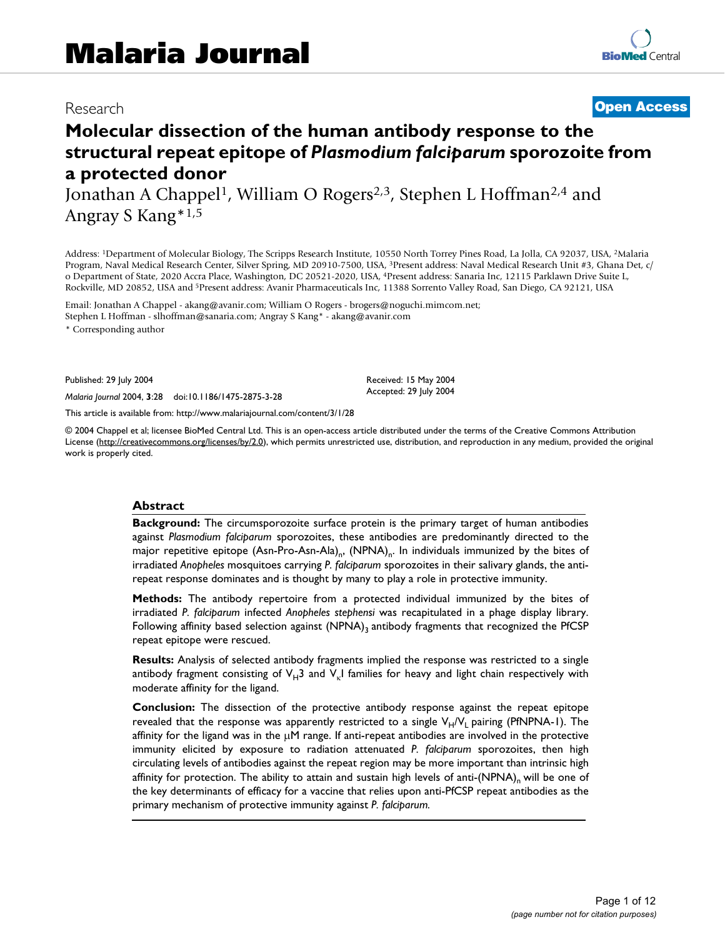## Research **[Open Access](http://www.biomedcentral.com/info/about/charter/)**

# **Molecular dissection of the human antibody response to the structural repeat epitope of** *Plasmodium falciparum* **sporozoite from a protected donor**

Jonathan A Chappel<sup>1</sup>, William O Rogers<sup>2,3</sup>, Stephen L Hoffman<sup>2,4</sup> and Angray S Kang\*1,5

Address: 1Department of Molecular Biology, The Scripps Research Institute, 10550 North Torrey Pines Road, La Jolla, CA 92037, USA, 2Malaria Program, Naval Medical Research Center, Silver Spring, MD 20910-7500, USA, 3Present address: Naval Medical Research Unit #3, Ghana Det, c/ o Department of State, 2020 Accra Place, Washington, DC 20521-2020, USA, 4Present address: Sanaria Inc, 12115 Parklawn Drive Suite L, Rockville, MD 20852, USA and 5Present address: Avanir Pharmaceuticals Inc, 11388 Sorrento Valley Road, San Diego, CA 92121, USA

Email: Jonathan A Chappel - akang@avanir.com; William O Rogers - brogers@noguchi.mimcom.net; Stephen L Hoffman - slhoffman@sanaria.com; Angray S Kang\* - akang@avanir.com \* Corresponding author

Published: 29 July 2004

*Malaria Journal* 2004, **3**:28 doi:10.1186/1475-2875-3-28

[This article is available from: http://www.malariajournal.com/content/3/1/28](http://www.malariajournal.com/content/3/1/28)

© 2004 Chappel et al; licensee BioMed Central Ltd. This is an open-access article distributed under the terms of the Creative Commons Attribution License (<http://creativecommons.org/licenses/by/2.0>), which permits unrestricted use, distribution, and reproduction in any medium, provided the original work is properly cited.

Received: 15 May 2004 Accepted: 29 July 2004

#### **Abstract**

**Background:** The circumsporozoite surface protein is the primary target of human antibodies against *Plasmodium falciparum* sporozoites, these antibodies are predominantly directed to the major repetitive epitope (Asn-Pro-Asn-Ala)<sub>n</sub>, (NPNA)<sub>n</sub>. In individuals immunized by the bites of irradiated *Anopheles* mosquitoes carrying *P. falciparum* sporozoites in their salivary glands, the antirepeat response dominates and is thought by many to play a role in protective immunity.

**Methods:** The antibody repertoire from a protected individual immunized by the bites of irradiated *P. falciparum* infected *Anopheles stephensi* was recapitulated in a phage display library. Following affinity based selection against  $(NPNA)$ <sub>3</sub> antibody fragments that recognized the PfCSP repeat epitope were rescued.

**Results:** Analysis of selected antibody fragments implied the response was restricted to a single antibody fragment consisting of  $V_H$ 3 and  $V_K$ I families for heavy and light chain respectively with moderate affinity for the ligand.

**Conclusion:** The dissection of the protective antibody response against the repeat epitope revealed that the response was apparently restricted to a single  $V_H/V_L$  pairing (PfNPNA-1). The affinity for the ligand was in the µM range. If anti-repeat antibodies are involved in the protective immunity elicited by exposure to radiation attenuated *P. falciparum* sporozoites, then high circulating levels of antibodies against the repeat region may be more important than intrinsic high affinity for protection. The ability to attain and sustain high levels of anti-(NPNA), will be one of the key determinants of efficacy for a vaccine that relies upon anti-PfCSP repeat antibodies as the primary mechanism of protective immunity against *P. falciparum.*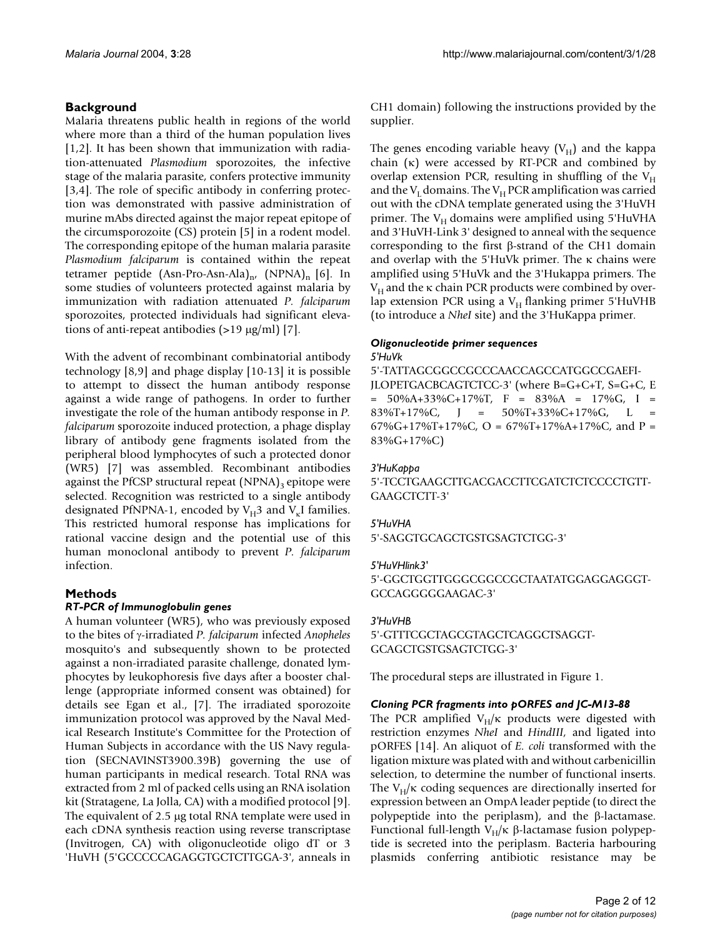### **Background**

Malaria threatens public health in regions of the world where more than a third of the human population lives [1,2]. It has been shown that immunization with radiation-attenuated *Plasmodium* sporozoites, the infective stage of the malaria parasite, confers protective immunity [3[,4\]](#page-10-0). The role of specific antibody in conferring protection was demonstrated with passive administration of murine mAbs directed against the major repeat epitope of the circumsporozoite (CS) protein [5] in a rodent model. The corresponding epitope of the human malaria parasite *Plasmodium falciparum* is contained within the repeat tetramer peptide  $(Asn-Pro-Asn-Ala)_{n'}$   $(NPNA)_{n}$  [[6](#page-10-1)]. In some studies of volunteers protected against malaria by immunization with radiation attenuated *P. falciparum* sporozoites, protected individuals had significant elevations of anti-repeat antibodies  $(>19 \mu g/ml)$  [[7](#page-10-2)].

With the advent of recombinant combinatorial antibody technology [8,9] and phage display [10-13] it is possible to attempt to dissect the human antibody response against a wide range of pathogens. In order to further investigate the role of the human antibody response in *P. falciparum* sporozoite induced protection, a phage display library of antibody gene fragments isolated from the peripheral blood lymphocytes of such a protected donor (WR5) [\[7\]](#page-10-2) was assembled. Recombinant antibodies against the PfCSP structural repeat  $(NPNA)$ <sub>3</sub> epitope were selected. Recognition was restricted to a single antibody designated PfNPNA-1, encoded by  $V_H$ 3 and  $V_K$ I families. This restricted humoral response has implications for rational vaccine design and the potential use of this human monoclonal antibody to prevent *P. falciparum* infection.

#### **Methods**

#### *RT-PCR of Immunoglobulin genes*

A human volunteer (WR5), who was previously exposed to the bites of γ-irradiated *P. falciparum* infected *Anopheles* mosquito's and subsequently shown to be protected against a non-irradiated parasite challenge, donated lymphocytes by leukophoresis five days after a booster challenge (appropriate informed consent was obtained) for details see Egan et al., [\[7\]](#page-10-2). The irradiated sporozoite immunization protocol was approved by the Naval Medical Research Institute's Committee for the Protection of Human Subjects in accordance with the US Navy regulation (SECNAVINST3900.39B) governing the use of human participants in medical research. Total RNA was extracted from 2 ml of packed cells using an RNA isolation kit (Stratagene, La Jolla, CA) with a modified protocol [9]. The equivalent of 2.5 µg total RNA template were used in each cDNA synthesis reaction using reverse transcriptase (Invitrogen, CA) with oligonucleotide oligo dT or 3 'HuVH (5'GCCCCCAGAGGTGCTCTTGGA-3', anneals in

CH1 domain) following the instructions provided by the supplier.

The genes encoding variable heavy  $(V_H)$  and the kappa chain (κ) were accessed by RT-PCR and combined by overlap extension PCR, resulting in shuffling of the  $V_H$ and the  $V<sub>L</sub>$  domains. The  $V<sub>H</sub>$  PCR amplification was carried out with the cDNA template generated using the 3'HuVH primer. The  $V_H$  domains were amplified using 5'HuVHA and 3'HuVH-Link 3' designed to anneal with the sequence corresponding to the first β-strand of the CH1 domain and overlap with the 5'HuVk primer. The κ chains were amplified using 5'HuVk and the 3'Hukappa primers. The  $V_H$  and the  $\kappa$  chain PCR products were combined by overlap extension PCR using a  $V_H$  flanking primer 5'HuVHB (to introduce a *NheI* site) and the 3'HuKappa primer.

# *Oligonucleotide primer sequences*

#### *5'HuVk*

5'-TATTAGCGGCCGCCCAACCAGCCATGGCCGAEFI-JLOPETGACBCAGTCTCC-3' (where B=G+C+T, S=G+C, E  $50\%A+33\%C+17\%T$ , F =  $83\%A = 17\%G$ , I =  $83\%T+17\%C$ , J =  $50\%T+33\%C+17\%G$ , L 67%G+17%T+17%C, O = 67%T+17%A+17%C, and P = 83%G+17%C)

#### *3'HuKappa*

5'-TCCTGAAGCTTGACGACCTTCGATCTCTCCCCTGTT-GAAGCTCTT-3'

#### *5'HuVHA*

5'-SAGGTGCAGCTGSTGSAGTCTGG-3'

#### *5'HuVHlink3'*

5'-GGCTGGTTGGGCGGCCGCTAATATGGAGGAGGGT-GCCAGGGGGAAGAC-3'

#### *3'HuVHB*

5'-GTTTCGCTAGCGTAGCTCAGGCTSAGGT-GCAGCTGSTGSAGTCTGG-3'

The procedural steps are illustrated in Figure [1](#page-2-0).

#### *Cloning PCR fragments into pORFES and JC-M13-88*

The PCR amplified  $V_H/\kappa$  products were digested with restriction enzymes *NheI* and *HindIII,* and ligated into pORFES [14]. An aliquot of *E. coli* transformed with the ligation mixture was plated with and without carbenicillin selection, to determine the number of functional inserts. The  $V_H/\kappa$  coding sequences are directionally inserted for expression between an OmpA leader peptide (to direct the polypeptide into the periplasm), and the β-lactamase. Functional full-length  $V_H/\kappa$  β-lactamase fusion polypeptide is secreted into the periplasm. Bacteria harbouring plasmids conferring antibiotic resistance may be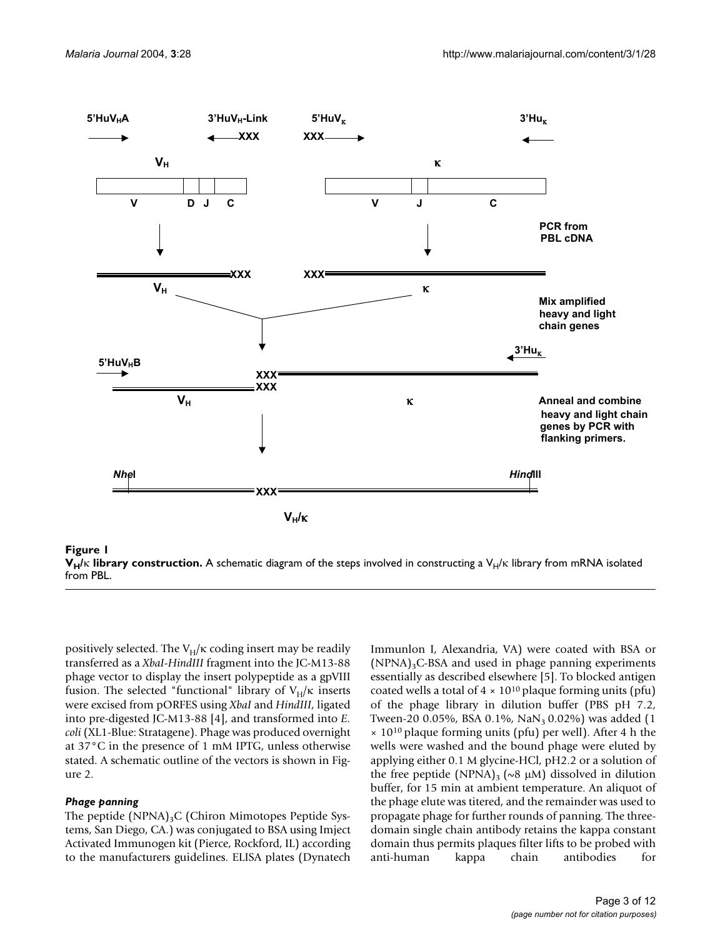<span id="page-2-0"></span>



positively selected. The  $V_H/\kappa$  coding insert may be readily transferred as a *XbaI*-*HindIII* fragment into the JC-M13-88 phage vector to display the insert polypeptide as a gpVIII fusion. The selected "functional" library of  $V_H/\kappa$  inserts were excised from pORFES using *XbaI* and *HindIII*, ligated into pre-digested JC-M13-88 [\[4\]](#page-10-0), and transformed into *E. coli* (XL1-Blue: Stratagene). Phage was produced overnight at 37°C in the presence of 1 mM IPTG, unless otherwise stated. A schematic outline of the vectors is shown in Figure 2.

#### *Phage panning*

The peptide  $(NPNA)_{3}C$  (Chiron Mimotopes Peptide Systems, San Diego, CA.) was conjugated to BSA using Imject Activated Immunogen kit (Pierce, Rockford, IL) according to the manufacturers guidelines. ELISA plates (Dynatech

Immunlon I, Alexandria, VA) were coated with BSA or  $(NPNA)$ <sub>3</sub>C-BSA and used in phage panning experiments essentially as described elsewhere [5]. To blocked antigen coated wells a total of  $4 \times 10^{10}$  plaque forming units (pfu) of the phage library in dilution buffer (PBS pH 7.2, Tween-20 0.05%, BSA 0.1%, NaN<sub>3</sub> 0.02%) was added (1  $\times$  10<sup>10</sup> plaque forming units (pfu) per well). After 4 h the wells were washed and the bound phage were eluted by applying either 0.1 M glycine-HCl, pH2.2 or a solution of the free peptide (NPNA)<sub>3</sub> ( $\sim$ 8  $\mu$ M) dissolved in dilution buffer, for 15 min at ambient temperature. An aliquot of the phage elute was titered, and the remainder was used to propagate phage for further rounds of panning. The threedomain single chain antibody retains the kappa constant domain thus permits plaques filter lifts to be probed with anti-human kappa chain antibodies for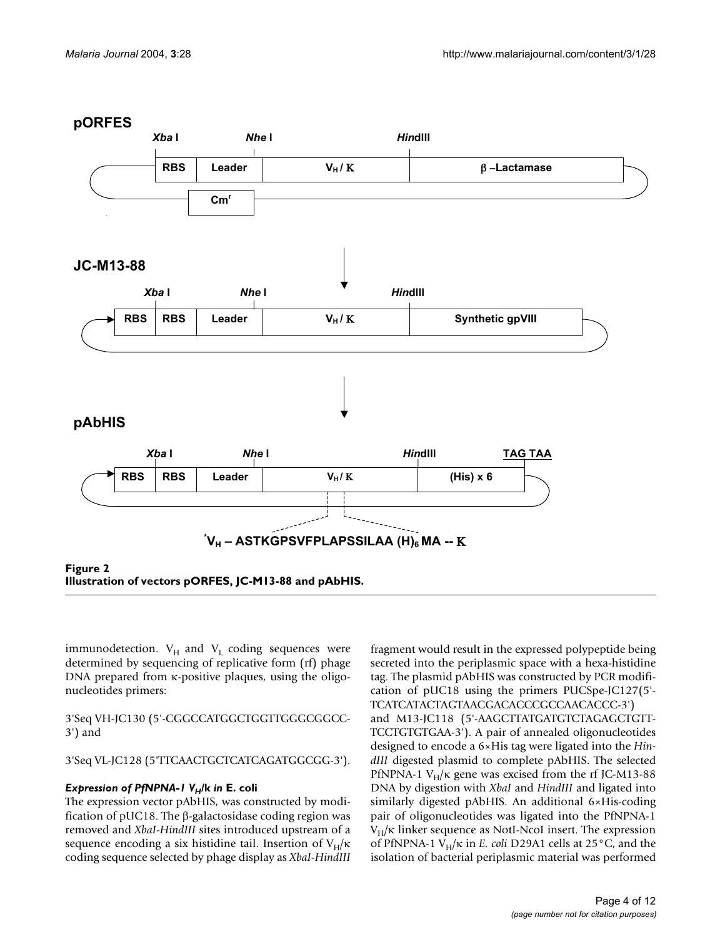#### **pORFES**



**Illustration of vectors pORFES, JC-M13-88 and pAbHIS.**

immunodetection.  $V_H$  and  $V_L$  coding sequences were determined by sequencing of replicative form (rf) phage DNA prepared from κ-positive plaques, using the oligonucleotides primers:

3'Seq VH-JC130 (5'-CGGCCATGGCTGGTTGGGCGGCC-3') and

3'Seq VL-JC128 (5'TTCAACTGCTCATCAGATGGCGG-3').

#### *Expression of PfNPNA-1 V<sub>H</sub>/k in E. coli*

The expression vector pAbHIS, was constructed by modification of pUC18. The β-galactosidase coding region was removed and *XbaI*-*HindIII* sites introduced upstream of a sequence encoding a six histidine tail. Insertion of  $V_H/\kappa$ coding sequence selected by phage display as *XbaI*-*HindIII*

fragment would result in the expressed polypeptide being secreted into the periplasmic space with a hexa-histidine tag. The plasmid pAbHIS was constructed by PCR modification of pUC18 using the primers PUCSpe-JC127(5'- TCATCATACTAGTAACGACACCCGCCAACACCC-3') and M13-JC118 (5'-AAGCTTATGATGTCTAGAGCTGTT-TCCTGTGTGAA-3'). A pair of annealed oligonucleotides designed to encode a 6×His tag were ligated into the *HindIII* digested plasmid to complete pAbHIS. The selected PfNPNA-1  $V_H/\kappa$  gene was excised from the rf JC-M13-88 DNA by digestion with *XbaI* and *HindIII* and ligated into similarly digested pAbHIS. An additional 6×His-coding pair of oligonucleotides was ligated into the PfNPNA-1  $V_H/\kappa$  linker sequence as NotI-NcoI insert. The expression of PfNPNA-1 V<sub>H</sub>/κ in *E. coli* D29A1 cells at 25°C, and the isolation of bacterial periplasmic material was performed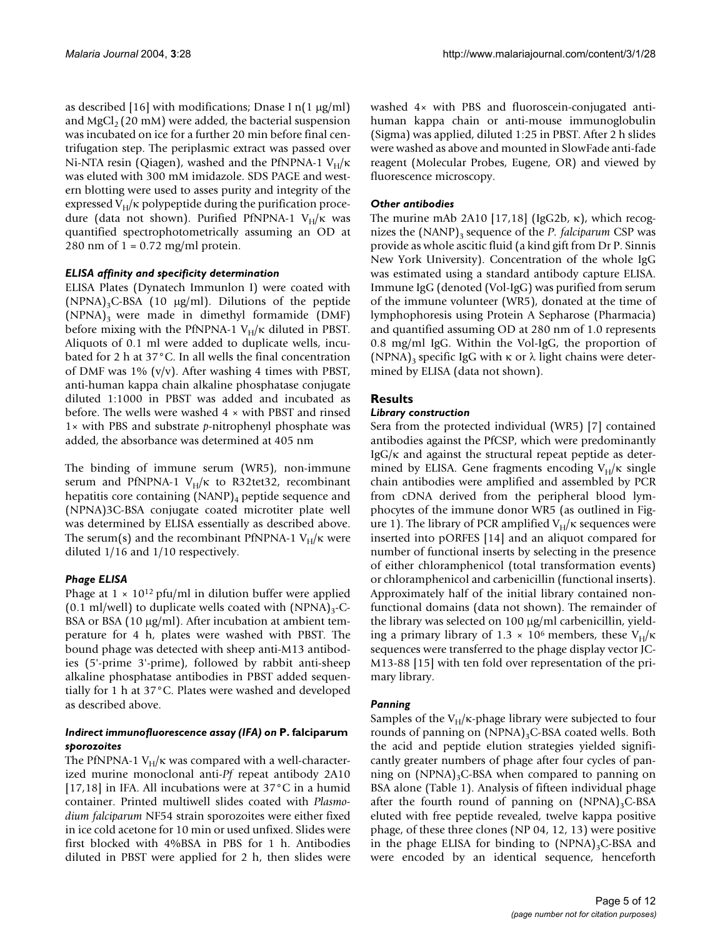as described [16] with modifications; Dnase I  $n(1 \mu g/ml)$ and  $MgCl<sub>2</sub>$  (20 mM) were added, the bacterial suspension was incubated on ice for a further 20 min before final centrifugation step. The periplasmic extract was passed over Ni-NTA resin (Qiagen), washed and the PfNPNA-1  $V_H/\kappa$ was eluted with 300 mM imidazole. SDS PAGE and western blotting were used to asses purity and integrity of the expressed  $V_H/\kappa$  polypeptide during the purification procedure (data not shown). Purified PfNPNA-1  $V_H/\kappa$  was quantified spectrophotometrically assuming an OD at 280 nm of  $1 = 0.72$  mg/ml protein.

#### *ELISA affinity and specificity determination*

ELISA Plates (Dynatech Immunlon I) were coated with  $(NPNA)$ <sub>3</sub>C-BSA (10 µg/ml). Dilutions of the peptide  $(NPNA)$ <sub>3</sub> were made in dimethyl formamide (DMF) before mixing with the PfNPNA-1  $V_H/\kappa$  diluted in PBST. Aliquots of 0.1 ml were added to duplicate wells, incubated for 2 h at 37°C. In all wells the final concentration of DMF was  $1\%$  (v/v). After washing 4 times with PBST, anti-human kappa chain alkaline phosphatase conjugate diluted 1:1000 in PBST was added and incubated as before. The wells were washed 4 × with PBST and rinsed 1× with PBS and substrate *p*-nitrophenyl phosphate was added, the absorbance was determined at 405 nm

The binding of immune serum (WR5), non-immune serum and PfNPNA-1  $V_H/\kappa$  to R32tet32, recombinant hepatitis core containing  $(NANP)<sub>4</sub>$  peptide sequence and (NPNA)3C-BSA conjugate coated microtiter plate well was determined by ELISA essentially as described above. The serum(s) and the recombinant PfNPNA-1  $V_H/\kappa$  were diluted 1/16 and 1/10 respectively.

#### *Phage ELISA*

Phage at  $1 \times 10^{12}$  pfu/ml in dilution buffer were applied  $(0.1 \text{ ml/well})$  to duplicate wells coated with  $(NPNA)_{3}$ -C-BSA or BSA  $(10 \mu g/ml)$ . After incubation at ambient temperature for 4 h, plates were washed with PBST. The bound phage was detected with sheep anti-M13 antibodies (5'-prime 3'-prime), followed by rabbit anti-sheep alkaline phosphatase antibodies in PBST added sequentially for 1 h at 37°C. Plates were washed and developed as described above.

#### *Indirect immunofluorescence assay (IFA) on* **P. falciparum**  *sporozoites*

The PfNPNA-1  $V_H/\kappa$  was compared with a well-characterized murine monoclonal anti-*Pf* repeat antibody 2A10 [17,[18\]](#page-10-3) in IFA. All incubations were at 37°C in a humid container. Printed multiwell slides coated with *Plasmodium falciparum* NF54 strain sporozoites were either fixed in ice cold acetone for 10 min or used unfixed. Slides were first blocked with 4%BSA in PBS for 1 h. Antibodies diluted in PBST were applied for 2 h, then slides were

washed 4× with PBS and fluoroscein-conjugated antihuman kappa chain or anti-mouse immunoglobulin (Sigma) was applied, diluted 1:25 in PBST. After 2 h slides were washed as above and mounted in SlowFade anti-fade reagent (Molecular Probes, Eugene, OR) and viewed by fluorescence microscopy.

#### *Other antibodies*

The murine mAb 2A10 [17,[18](#page-10-3)] (IgG2b, κ), which recognizes the (NANP)<sub>3</sub> sequence of the *P. falciparum* CSP was provide as whole ascitic fluid (a kind gift from Dr P. Sinnis New York University). Concentration of the whole IgG was estimated using a standard antibody capture ELISA. Immune IgG (denoted (Vol-IgG) was purified from serum of the immune volunteer (WR5), donated at the time of lymphophoresis using Protein A Sepharose (Pharmacia) and quantified assuming OD at 280 nm of 1.0 represents 0.8 mg/ml IgG. Within the Vol-IgG, the proportion of (NPNA)<sub>3</sub> specific IgG with κ or  $\lambda$  light chains were determined by ELISA (data not shown).

#### **Results**

#### *Library construction*

Sera from the protected individual (WR5) [[7](#page-10-2)] contained antibodies against the PfCSP, which were predominantly  $IgG/\kappa$  and against the structural repeat peptide as determined by ELISA. Gene fragments encoding  $V_H/\kappa$  single chain antibodies were amplified and assembled by PCR from cDNA derived from the peripheral blood lymphocytes of the immune donor WR5 (as outlined in Fig-ure [1\)](#page-2-0). The library of PCR amplified  $V_H/\kappa$  sequences were inserted into pORFES [14] and an aliquot compared for number of functional inserts by selecting in the presence of either chloramphenicol (total transformation events) or chloramphenicol and carbenicillin (functional inserts). Approximately half of the initial library contained nonfunctional domains (data not shown). The remainder of the library was selected on 100 µg/ml carbenicillin, yielding a primary library of 1.3  $\times$  10<sup>6</sup> members, these V<sub>H</sub>/ $\kappa$ sequences were transferred to the phage display vector JC-M13-88 [15] with ten fold over representation of the primary library.

#### *Panning*

Samples of the  $V_H/\kappa$ -phage library were subjected to four rounds of panning on  $(NPNA)$ <sub>3</sub>C-BSA coated wells. Both the acid and peptide elution strategies yielded significantly greater numbers of phage after four cycles of panning on  $(NPNA)$ <sub>3</sub>C-BSA when compared to panning on BSA alone (Table [1](#page-5-0)). Analysis of fifteen individual phage after the fourth round of panning on  $(NPNA)_{3}C-BSA$ eluted with free peptide revealed, twelve kappa positive phage, of these three clones (NP 04, 12, 13) were positive in the phage ELISA for binding to  $(NPNA)_{3}C$ -BSA and were encoded by an identical sequence, henceforth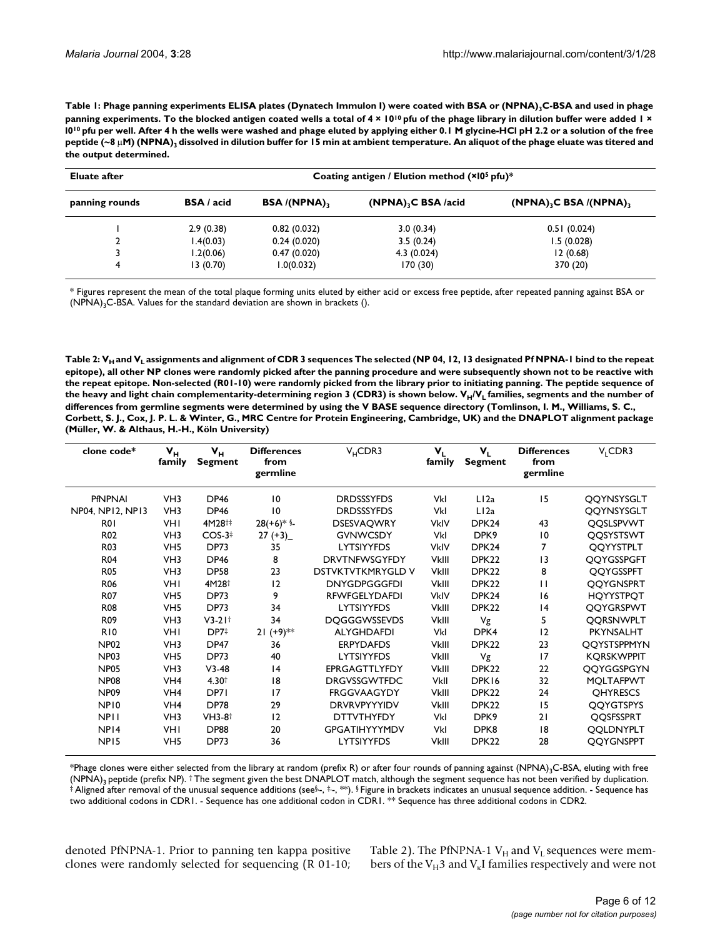<span id="page-5-0"></span>Table 1: Phage panning experiments ELISA plates (Dynatech Immulon I) were coated with BSA or (NPNA)<sub>3</sub>C-BSA and used in phage **panning experiments. To the blocked antigen coated wells a total of 4 × 1010 pfu of the phage library in dilution buffer were added 1 × l010 pfu per well. After 4 h the wells were washed and phage eluted by applying either 0.1 M glycine-HCl pH 2.2 or a solution of the free peptide (~8 µM) (NPNA)**<sub>3</sub> dissolved in dilution buffer for 15 min at ambient temperature. An aliquot of the phage eluate was titered and **the output determined.**

| <b>Eluate after</b> | Coating antigen / Elution method $(x105$ pfu)* |                     |                                   |                                                  |  |  |  |  |
|---------------------|------------------------------------------------|---------------------|-----------------------------------|--------------------------------------------------|--|--|--|--|
| panning rounds      | <b>BSA</b> / acid                              | <b>BSA</b> /(NPNA), | $(NPNA)$ <sub>2</sub> C BSA /acid | $(NPNA)$ <sub>2</sub> C BSA /(NPNA) <sub>3</sub> |  |  |  |  |
|                     | 2.9(0.38)                                      | 0.82(0.032)         | 3.0(0.34)                         | 0.51(0.024)                                      |  |  |  |  |
|                     | 1.4(0.03)                                      | 0.24(0.020)         | 3.5(0.24)                         | 1.5(0.028)                                       |  |  |  |  |
|                     | l.2(0.06)                                      | 0.47(0.020)         | 4.3(0.024)                        | 12(0.68)                                         |  |  |  |  |
| 4                   | 13(0.70)                                       | 1.0(0.032)          | 170 (30)                          | 370 (20)                                         |  |  |  |  |

\* Figures represent the mean of the total plaque forming units eluted by either acid or excess free peptide, after repeated panning against BSA or  $(NPNA)$ <sub>3</sub>C-BSA. Values for the standard deviation are shown in brackets ().

<span id="page-5-1"></span>Table 2: V<sub>H</sub> and V<sub>I</sub> assignments and alignment of CDR 3 sequences The selected (NP 04, 12, 13 designated Pf NPNA-1 bind to the repeat **epitope), all other NP clones were randomly picked after the panning procedure and were subsequently shown not to be reactive with the repeat epitope. Non-selected (R01-10) were randomly picked from the library prior to initiating panning. The peptide sequence of**  the heavy and light chain complementarity-determining region 3 (CDR3) is shown below. V<sub>H</sub>/V<sub>L</sub> families, segments and the number of **differences from germline segments were determined by using the V BASE sequence directory (Tomlinson, I. M., Williams, S. C., Corbett, S. J., Cox, J. P. L. & Winter, G., MRC Centre for Protein Engineering, Cambridge, UK) and the DNAPLOT alignment package (Müller, W. & Althaus, H.-H., Köln University)**

| clone code*      | $\mathsf{v}_{\scriptscriptstyle{\mathsf{H}}}$<br>family | $V_H$<br><b>Segment</b> | <b>Differences</b><br>from<br>germline | $V_H$ CDR3           | $V_L$<br>family | $V_{L}$<br><b>Segment</b> | <b>Differences</b><br>from<br>germline | $V1$ CDR3         |
|------------------|---------------------------------------------------------|-------------------------|----------------------------------------|----------------------|-----------------|---------------------------|----------------------------------------|-------------------|
| <b>PfNPNAI</b>   | VH <sub>3</sub>                                         | <b>DP46</b>             | 10                                     | <b>DRDSSSYFDS</b>    | Vkl             | L12a                      | 15                                     | QQYNSYSGLT        |
| NP04, NP12, NP13 | VH <sub>3</sub>                                         | <b>DP46</b>             | 10                                     | <b>DRDSSSYFDS</b>    | Vkl             | L12a                      |                                        | <b>OOYNSYSGLT</b> |
| R <sub>0</sub>   | <b>VHI</b>                                              | 4M28 <sup>+</sup>       | $28(+6)*$ §                            | <b>DSESVAOWRY</b>    | <b>VkIV</b>     | DPK <sub>24</sub>         | 43                                     | <b>OOSLSPVWT</b>  |
| R <sub>02</sub>  | VH <sub>3</sub>                                         | $COS-3‡$                | $27 (+3)$                              | <b>GVNWCSDY</b>      | Vkl             | DPK9                      | 10                                     | <b>OOSYSTSWT</b>  |
| R03              | VH <sub>5</sub>                                         | <b>DP73</b>             | 35                                     | <b>LYTSIYYFDS</b>    | <b>VkIV</b>     | DPK24                     | 7                                      | <b>OOYYSTPLT</b>  |
| R04              | VH <sub>3</sub>                                         | <b>DP46</b>             | 8                                      | <b>DRVTNFWSGYFDY</b> | <b>VkIII</b>    | DPK <sub>22</sub>         | 13                                     | <b>OOYGSSPGFT</b> |
| <b>R05</b>       | VH <sub>3</sub>                                         | <b>DP58</b>             | 23                                     | DSTVKTVTKMRYGLD V    | <b>VkIII</b>    | DPK <sub>22</sub>         | 8                                      | <b>OOYGSSPFT</b>  |
| <b>R06</b>       | <b>VHI</b>                                              | 4M28 <sup>+</sup>       | 12                                     | <b>DNYGDPGGGFDI</b>  | <b>VkIII</b>    | DPK <sub>22</sub>         | $\mathbf{H}$                           | <b>OOYGNSPRT</b>  |
| <b>R07</b>       | VH <sub>5</sub>                                         | <b>DP73</b>             | 9                                      | <b>RFWFGELYDAFDI</b> | <b>VkIV</b>     | DPK24                     | 16                                     | <b>HQYYSTPQT</b>  |
| <b>R08</b>       | VH <sub>5</sub>                                         | <b>DP73</b>             | 34                                     | <b>LYTSIYYFDS</b>    | <b>VkIII</b>    | DPK <sub>22</sub>         | 4                                      | <b>OOYGRSPWT</b>  |
| R09              | VH <sub>3</sub>                                         | $V3 - 21$ <sup>†</sup>  | 34                                     | <b>DOGGGWSSEVDS</b>  | <b>VkIII</b>    | Vg                        | 5                                      | <b>OORSNWPLT</b>  |
| R <sub>10</sub>  | <b>VHI</b>                                              | DP7‡                    | $21 (+9)$ **                           | <b>ALYGHDAFDI</b>    | Vkl             | DPK4                      | 2                                      | <b>PKYNSALHT</b>  |
| <b>NP02</b>      | VH <sub>3</sub>                                         | DP47                    | 36                                     | <b>ERPYDAFDS</b>     | <b>VkIII</b>    | DPK <sub>22</sub>         | 23                                     | QQYSTSPPMYN       |
| NP03             | VH <sub>5</sub>                                         | <b>DP73</b>             | 40                                     | <b>LYTSIYYFDS</b>    | <b>VkIII</b>    | Vg                        | 17                                     | KORSKWPPIT        |
| NP <sub>05</sub> | VH <sub>3</sub>                                         | $V3-48$                 | 4                                      | EPRGAGTTLYFDY        | <b>VkIII</b>    | DPK <sub>22</sub>         | 22                                     | QQYGGSPGYN        |
| NP08             | VH <sub>4</sub>                                         | 4.30 <sup>†</sup>       | 8                                      | <b>DRGVSSGWTFDC</b>  | VkII            | DPK16                     | 32                                     | <b>MOLTAFPWT</b>  |
| NP09             | VH <sub>4</sub>                                         | DP71                    | 17                                     | <b>FRGGVAAGYDY</b>   | <b>VkIII</b>    | DPK <sub>22</sub>         | 24                                     | <b>OHYRESCS</b>   |
| NP <sub>10</sub> | VH <sub>4</sub>                                         | <b>DP78</b>             | 29                                     | <b>DRVRVPYYYIDV</b>  | <b>VkIII</b>    | DPK <sub>22</sub>         | 15                                     | <b>OOYGTSPYS</b>  |
| <b>NPII</b>      | VH <sub>3</sub>                                         | $VH3-8†$                | 12                                     | <b>DTTVTHYFDY</b>    | Vkl             | DPK9                      | 21                                     | <b>OOSFSSPRT</b>  |
| NP <sub>14</sub> | <b>VHI</b>                                              | <b>DP88</b>             | 20                                     | <b>GPGATIHYYYMDV</b> | Vkl             | DPK8                      | 8                                      | <b>OOLDNYPLT</b>  |
| NP <sub>15</sub> | VH <sub>5</sub>                                         | <b>DP73</b>             | 36                                     | <b>LYTSIYYFDS</b>    | <b>VkIII</b>    | DPK <sub>22</sub>         | 28                                     | <b>OOYGNSPPT</b>  |

\*Phage clones were either selected from the library at random (prefix R) or after four rounds of panning against (NPNA)3C-BSA, eluting with free (NPNA)<sub>3</sub> peptide (prefix NP). † The segment given the best DNAPLOT match, although the segment sequence has not been verified by duplication. ‡ Aligned after removal of the unusual sequence additions (see§,-, ‡,-, \*\*). § Figure in brackets indicates an unusual sequence addition. - Sequence has two additional codons in CDR1. - Sequence has one additional codon in CDR1. \*\* Sequence has three additional codons in CDR2.

denoted PfNPNA-1. Prior to panning ten kappa positive clones were randomly selected for sequencing (R 01-10; Table [2](#page-5-1)). The PfNPNA-1  $V_H$  and  $V_L$  sequences were members of the  $V_H$ 3 and  $V_K$ I families respectively and were not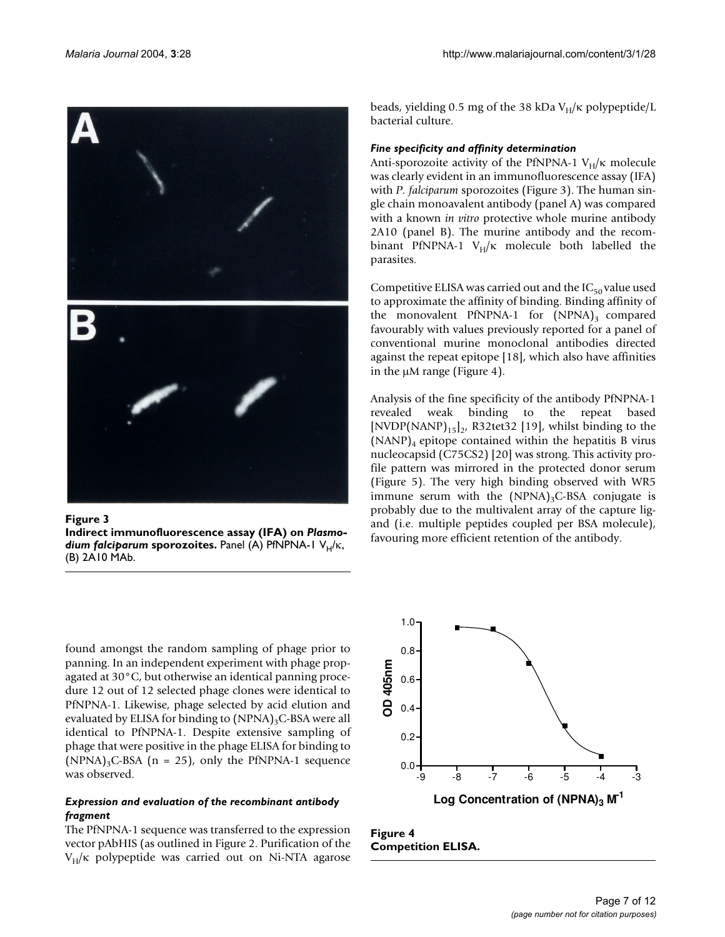

**Figure 3 Indirect immunofluorescence assay (IFA) on** *Plasmo***dium falciparum sporozoites.** Panel (A) PfNPNA-1 V<sub>H</sub>/κ, (B) 2A10 MAb.

beads, yielding 0.5 mg of the 38 kDa VH/K polypeptide/L bacterial culture.

#### *Fine specificity and affinity determination*

Anti-sporozoite activity of the PfNPNA-1  $V_H/\kappa$  molecule was clearly evident in an immunofluorescence assay (IFA) with *P. falciparum* sporozoites (Figure 3). The human single chain monoavalent antibody (panel A) was compared with a known *in vitro* protective whole murine antibody 2A10 (panel B). The murine antibody and the recombinant PfNPNA-1  $V_H/\kappa$  molecule both labelled the parasites.

Competitive ELISA was carried out and the  $IC_{50}$  value used to approximate the affinity of binding. Binding affinity of the monovalent PfNPNA-1 for  $(NPNA)$ <sub>3</sub> compared favourably with values previously reported for a panel of conventional murine monoclonal antibodies directed against the repeat epitope [[18](#page-10-3)], which also have affinities in the  $\mu$ M range (Figure 4).

Analysis of the fine specificity of the antibody PfNPNA-1 revealed weak binding to the repeat based  $[NVDP(NANP)<sub>15</sub>]<sub>2</sub>$ , R32tet32 [\[19](#page-10-4)], whilst binding to the  $(NANP)<sub>4</sub>$  epitope contained within the hepatitis B virus nucleocapsid (C75CS2) [20] was strong. This activity profile pattern was mirrored in the protected donor serum (Figure [5](#page-7-0)). The very high binding observed with WR5 immune serum with the  $(NPNA)_{3}C-BSA$  conjugate is probably due to the multivalent array of the capture ligand (i.e. multiple peptides coupled per BSA molecule), favouring more efficient retention of the antibody.

found amongst the random sampling of phage prior to panning. In an independent experiment with phage propagated at 30°C, but otherwise an identical panning procedure 12 out of 12 selected phage clones were identical to PfNPNA-1. Likewise, phage selected by acid elution and evaluated by ELISA for binding to  $(NPNA)_{3}C$ -BSA were all identical to PfNPNA-1. Despite extensive sampling of phage that were positive in the phage ELISA for binding to  $(NPNA)_{3}C-BSA$  (n = 25), only the PfNPNA-1 sequence was observed.

#### *Expression and evaluation of the recombinant antibody fragment*

The PfNPNA-1 sequence was transferred to the expression vector pAbHIS (as outlined in Figure 2. Purification of the  $V_H$ /κ polypeptide was carried out on Ni-NTA agarose



**Figure 4 Competition ELISA.**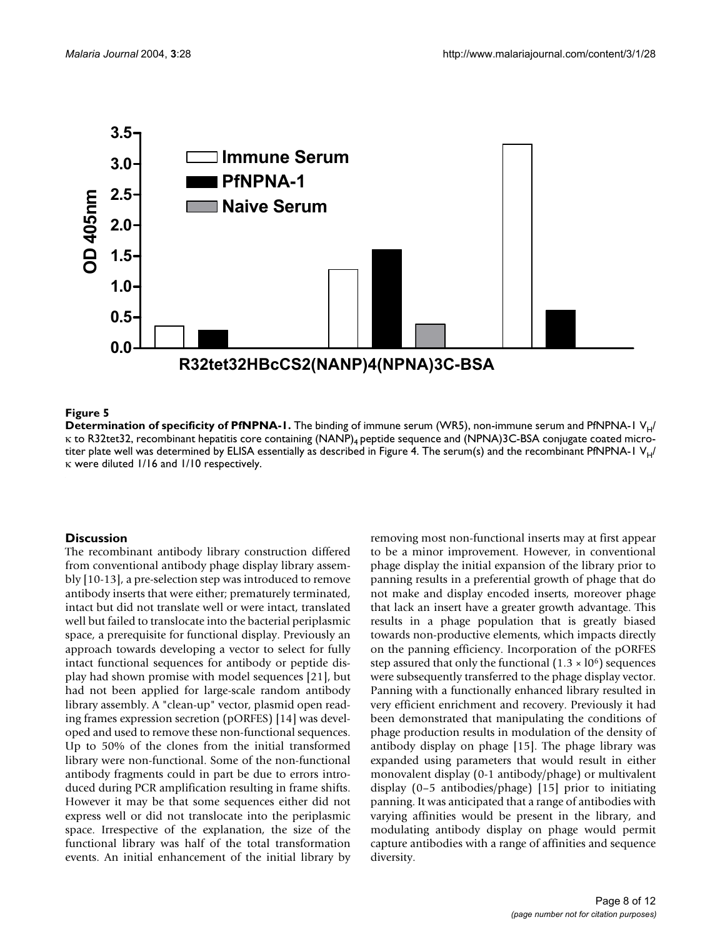<span id="page-7-0"></span>

#### **Figure 5**

**Determination of specificity of PfNPNA-1.** The binding of immune serum (WR5), non-immune serum and PfNPNA-1 V<sub>H</sub>/  $κ$  to R32tet32, recombinant hepatitis core containing  $(NANP)<sub>4</sub>$  peptide sequence and  $(NPNA)$ 3C-BSA conjugate coated microtiter plate well was determined by ELISA essentially as described in Figure 4. The serum(s) and the recombinant PfNPNA-1 V $_{H}/$ κ were diluted 1/16 and 1/10 respectively.

#### **Discussion**

The recombinant antibody library construction differed from conventional antibody phage display library assembly [10-13], a pre-selection step was introduced to remove antibody inserts that were either; prematurely terminated, intact but did not translate well or were intact, translated well but failed to translocate into the bacterial periplasmic space, a prerequisite for functional display. Previously an approach towards developing a vector to select for fully intact functional sequences for antibody or peptide display had shown promise with model sequences [21], but had not been applied for large-scale random antibody library assembly. A "clean-up" vector, plasmid open reading frames expression secretion (pORFES) [14] was developed and used to remove these non-functional sequences. Up to 50% of the clones from the initial transformed library were non-functional. Some of the non-functional antibody fragments could in part be due to errors introduced during PCR amplification resulting in frame shifts. However it may be that some sequences either did not express well or did not translocate into the periplasmic space. Irrespective of the explanation, the size of the functional library was half of the total transformation events. An initial enhancement of the initial library by removing most non-functional inserts may at first appear to be a minor improvement. However, in conventional phage display the initial expansion of the library prior to panning results in a preferential growth of phage that do not make and display encoded inserts, moreover phage that lack an insert have a greater growth advantage. This results in a phage population that is greatly biased towards non-productive elements, which impacts directly on the panning efficiency. Incorporation of the pORFES step assured that only the functional  $(1.3 \times 10^6)$  sequences were subsequently transferred to the phage display vector. Panning with a functionally enhanced library resulted in very efficient enrichment and recovery. Previously it had been demonstrated that manipulating the conditions of phage production results in modulation of the density of antibody display on phage [15]. The phage library was expanded using parameters that would result in either monovalent display (0-1 antibody/phage) or multivalent display (0–5 antibodies/phage) [15] prior to initiating panning. It was anticipated that a range of antibodies with varying affinities would be present in the library, and modulating antibody display on phage would permit capture antibodies with a range of affinities and sequence diversity.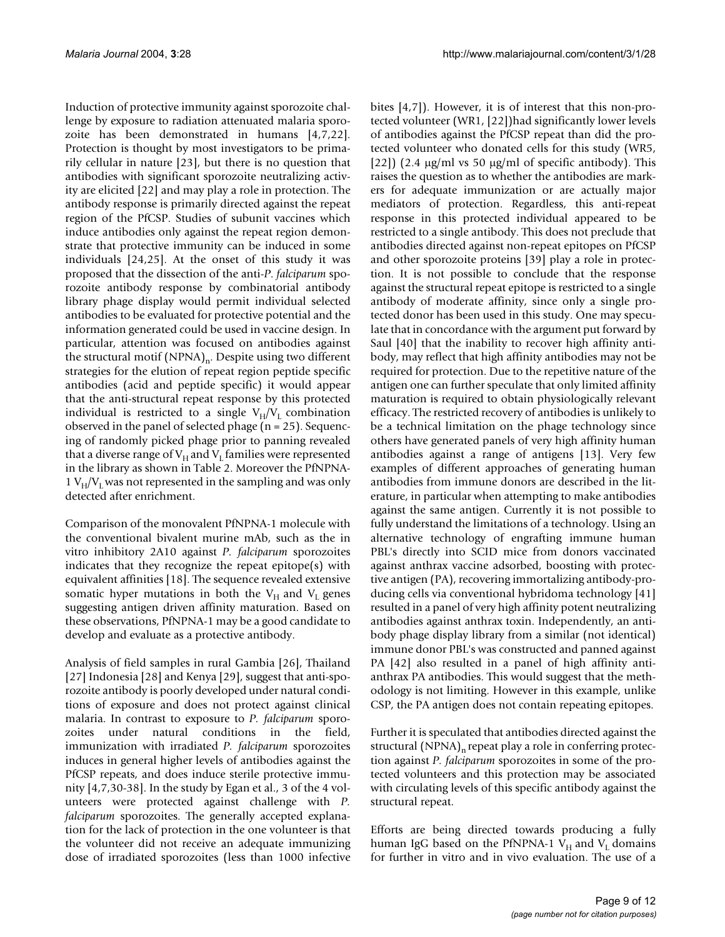Induction of protective immunity against sporozoite challenge by exposure to radiation attenuated malaria sporozoite has been demonstrated in humans [\[4](#page-10-0)[,7](#page-10-2)[,22](#page-10-5)]. Protection is thought by most investigators to be primarily cellular in nature [23], but there is no question that antibodies with significant sporozoite neutralizing activity are elicited [\[22](#page-10-5)] and may play a role in protection. The antibody response is primarily directed against the repeat region of the PfCSP. Studies of subunit vaccines which induce antibodies only against the repeat region demonstrate that protective immunity can be induced in some individuals [24[,25](#page-10-6)]. At the onset of this study it was proposed that the dissection of the anti-*P*. *falciparum* sporozoite antibody response by combinatorial antibody library phage display would permit individual selected antibodies to be evaluated for protective potential and the information generated could be used in vaccine design. In particular, attention was focused on antibodies against the structural motif  $(NPNA)_n$ . Despite using two different strategies for the elution of repeat region peptide specific antibodies (acid and peptide specific) it would appear that the anti-structural repeat response by this protected individual is restricted to a single  $V_H/V_L$  combination observed in the panel of selected phage  $(n = 25)$ . Sequencing of randomly picked phage prior to panning revealed that a diverse range of  $V_H$  and  $V_L$  families were represented in the library as shown in Table [2](#page-5-1). Moreover the PfNPNA- $1 \text{ V}_{\text{H}}/\text{V}_{\text{L}}$  was not represented in the sampling and was only detected after enrichment.

Comparison of the monovalent PfNPNA-1 molecule with the conventional bivalent murine mAb, such as the in vitro inhibitory 2A10 against *P. falciparum* sporozoites indicates that they recognize the repeat epitope(s) with equivalent affinities [[18](#page-10-3)]. The sequence revealed extensive somatic hyper mutations in both the  $V_H$  and  $V_L$  genes suggesting antigen driven affinity maturation. Based on these observations, PfNPNA-1 may be a good candidate to develop and evaluate as a protective antibody.

Analysis of field samples in rural Gambia [26], Thailand [[27](#page-10-7)] Indonesia [28] and Kenya [29], suggest that anti-sporozoite antibody is poorly developed under natural conditions of exposure and does not protect against clinical malaria. In contrast to exposure to *P. falciparum* sporozoites under natural conditions in the field, immunization with irradiated *P. falciparum* sporozoites induces in general higher levels of antibodies against the PfCSP repeats, and does induce sterile protective immunity [\[4,](#page-10-0)[7,](#page-10-2)[30-](#page-10-8)38]. In the study by Egan et al., 3 of the 4 volunteers were protected against challenge with *P. falciparum* sporozoites. The generally accepted explanation for the lack of protection in the one volunteer is that the volunteer did not receive an adequate immunizing dose of irradiated sporozoites (less than 1000 infective bites [[4](#page-10-0),[7](#page-10-2)]). However, it is of interest that this non-protected volunteer (WR1, [[22\]](#page-10-5))had significantly lower levels of antibodies against the PfCSP repeat than did the protected volunteer who donated cells for this study (WR5, [[22](#page-10-5)]) (2.4  $\mu$ g/ml vs 50  $\mu$ g/ml of specific antibody). This raises the question as to whether the antibodies are markers for adequate immunization or are actually major mediators of protection. Regardless, this anti-repeat response in this protected individual appeared to be restricted to a single antibody. This does not preclude that antibodies directed against non-repeat epitopes on PfCSP and other sporozoite proteins [39] play a role in protection. It is not possible to conclude that the response against the structural repeat epitope is restricted to a single antibody of moderate affinity, since only a single protected donor has been used in this study. One may speculate that in concordance with the argument put forward by Saul [40] that the inability to recover high affinity antibody, may reflect that high affinity antibodies may not be required for protection. Due to the repetitive nature of the antigen one can further speculate that only limited affinity maturation is required to obtain physiologically relevant efficacy. The restricted recovery of antibodies is unlikely to be a technical limitation on the phage technology since others have generated panels of very high affinity human antibodies against a range of antigens [13]. Very few examples of different approaches of generating human antibodies from immune donors are described in the literature, in particular when attempting to make antibodies against the same antigen. Currently it is not possible to fully understand the limitations of a technology. Using an alternative technology of engrafting immune human PBL's directly into SCID mice from donors vaccinated against anthrax vaccine adsorbed, boosting with protective antigen (PA), recovering immortalizing antibody-producing cells via conventional hybridoma technology [41] resulted in a panel of very high affinity potent neutralizing antibodies against anthrax toxin. Independently, an antibody phage display library from a similar (not identical) immune donor PBL's was constructed and panned against PA [42] also resulted in a panel of high affinity antianthrax PA antibodies. This would suggest that the methodology is not limiting. However in this example, unlike CSP, the PA antigen does not contain repeating epitopes.

Further it is speculated that antibodies directed against the structural  $(NPNA)_n$  repeat play a role in conferring protection against *P. falciparum* sporozoites in some of the protected volunteers and this protection may be associated with circulating levels of this specific antibody against the structural repeat.

Efforts are being directed towards producing a fully human IgG based on the PfNPNA-1  $V_H$  and  $V_L$  domains for further in vitro and in vivo evaluation. The use of a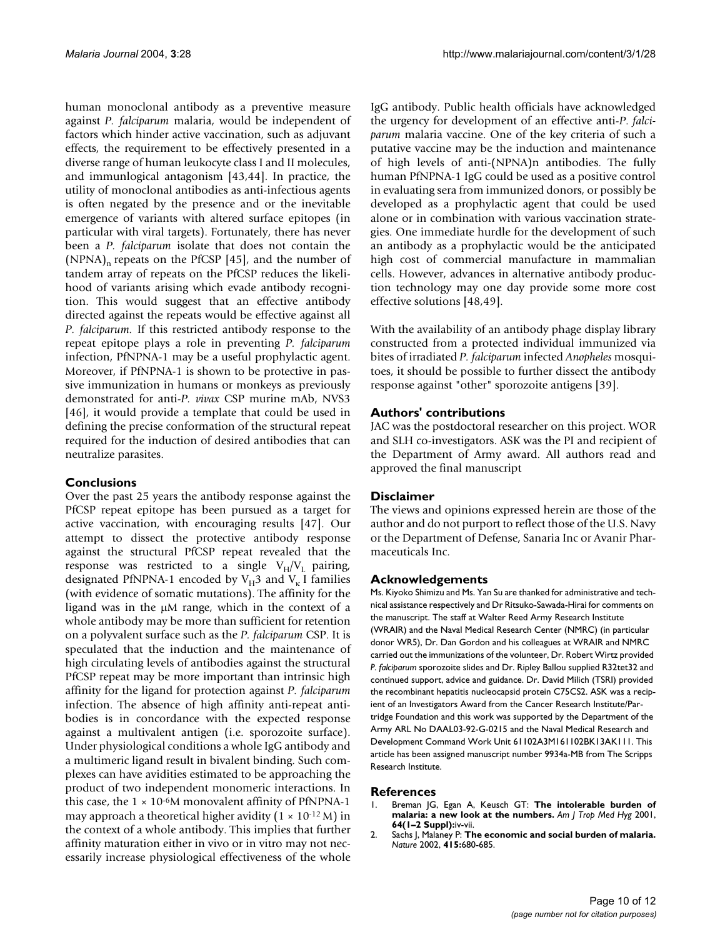human monoclonal antibody as a preventive measure against *P. falciparum* malaria, would be independent of factors which hinder active vaccination, such as adjuvant effects, the requirement to be effectively presented in a diverse range of human leukocyte class I and II molecules, and immunlogical antagonism [43,44]. In practice, the utility of monoclonal antibodies as anti-infectious agents is often negated by the presence and or the inevitable emergence of variants with altered surface epitopes (in particular with viral targets). Fortunately, there has never been a *P. falciparum* isolate that does not contain the  $(NPNA)_n$  repeats on the PfCSP [45], and the number of tandem array of repeats on the PfCSP reduces the likelihood of variants arising which evade antibody recognition. This would suggest that an effective antibody directed against the repeats would be effective against all *P. falciparum.* If this restricted antibody response to the repeat epitope plays a role in preventing *P. falciparum* infection, PfNPNA-1 may be a useful prophylactic agent. Moreover, if PfNPNA-1 is shown to be protective in passive immunization in humans or monkeys as previously demonstrated for anti-*P. vivax* CSP murine mAb, NVS3 [46], it would provide a template that could be used in defining the precise conformation of the structural repeat required for the induction of desired antibodies that can neutralize parasites.

#### **Conclusions**

Over the past 25 years the antibody response against the PfCSP repeat epitope has been pursued as a target for active vaccination, with encouraging results [47]. Our attempt to dissect the protective antibody response against the structural PfCSP repeat revealed that the response was restricted to a single  $V_H/V_L$  pairing, designated PfNPNA-1 encoded by  $V_H$ 3 and  $V_K$  I families (with evidence of somatic mutations). The affinity for the ligand was in the µM range, which in the context of a whole antibody may be more than sufficient for retention on a polyvalent surface such as the *P. falciparum* CSP. It is speculated that the induction and the maintenance of high circulating levels of antibodies against the structural PfCSP repeat may be more important than intrinsic high affinity for the ligand for protection against *P. falciparum* infection. The absence of high affinity anti-repeat antibodies is in concordance with the expected response against a multivalent antigen (i.e. sporozoite surface). Under physiological conditions a whole IgG antibody and a multimeric ligand result in bivalent binding. Such complexes can have avidities estimated to be approaching the product of two independent monomeric interactions. In this case, the  $1 \times 10^{-6}$ M monovalent affinity of PfNPNA-1 may approach a theoretical higher avidity  $(1 \times 10^{-12} \text{M})$  in the context of a whole antibody. This implies that further affinity maturation either in vivo or in vitro may not necessarily increase physiological effectiveness of the whole IgG antibody. Public health officials have acknowledged the urgency for development of an effective anti-*P*. *falciparum* malaria vaccine. One of the key criteria of such a putative vaccine may be the induction and maintenance of high levels of anti-(NPNA)n antibodies. The fully human PfNPNA-1 IgG could be used as a positive control in evaluating sera from immunized donors, or possibly be developed as a prophylactic agent that could be used alone or in combination with various vaccination strategies. One immediate hurdle for the development of such an antibody as a prophylactic would be the anticipated high cost of commercial manufacture in mammalian cells. However, advances in alternative antibody production technology may one day provide some more cost effective solutions [48,49].

With the availability of an antibody phage display library constructed from a protected individual immunized via bites of irradiated *P. falciparum* infected *Anopheles* mosquitoes, it should be possible to further dissect the antibody response against "other" sporozoite antigens [39].

#### **Authors' contributions**

JAC was the postdoctoral researcher on this project. WOR and SLH co-investigators. ASK was the PI and recipient of the Department of Army award. All authors read and approved the final manuscript

#### **Disclaimer**

The views and opinions expressed herein are those of the author and do not purport to reflect those of the U.S. Navy or the Department of Defense, Sanaria Inc or Avanir Pharmaceuticals Inc.

#### **Acknowledgements**

Ms. Kiyoko Shimizu and Ms. Yan Su are thanked for administrative and technical assistance respectively and Dr Ritsuko-Sawada-Hirai for comments on the manuscript. The staff at Walter Reed Army Research Institute (WRAIR) and the Naval Medical Research Center (NMRC) (in particular donor WR5), Dr. Dan Gordon and his colleagues at WRAIR and NMRC carried out the immunizations of the volunteer, Dr. Robert Wirtz provided *P. falciparum* sporozoite slides and Dr. Ripley Ballou supplied R32tet32 and continued support, advice and guidance. Dr. David Milich (TSRI) provided the recombinant hepatitis nucleocapsid protein C75CS2. ASK was a recipient of an Investigators Award from the Cancer Research Institute/Partridge Foundation and this work was supported by the Department of the Army ARL No DAAL03-92-G-0215 and the Naval Medical Research and Development Command Work Unit 61102A3M161102BK13AK111. This article has been assigned manuscript number 9934a-MB from The Scripps Research Institute.

#### **References**

- 1. Breman JG, Egan A, Keusch GT: **[The intolerable burden of](http://www.ncbi.nlm.nih.gov/entrez/query.fcgi?cmd=Retrieve&db=PubMed&dopt=Abstract&list_uids=11425185) [malaria: a new look at the numbers.](http://www.ncbi.nlm.nih.gov/entrez/query.fcgi?cmd=Retrieve&db=PubMed&dopt=Abstract&list_uids=11425185)** *Am J Trop Med Hyg* 2001, **64(1–2 Suppl):**iv-vii.
- 2. Sachs J, Malaney P: **[The economic and social burden of malaria](http://www.ncbi.nlm.nih.gov/entrez/query.fcgi?cmd=Retrieve&db=PubMed&dopt=Abstract&list_uids=10.1038/415680a)[.](http://www.ncbi.nlm.nih.gov/entrez/query.fcgi?cmd=Retrieve&db=PubMed&dopt=Abstract&list_uids=11832956)** *Nature* 2002, **415:**680-685.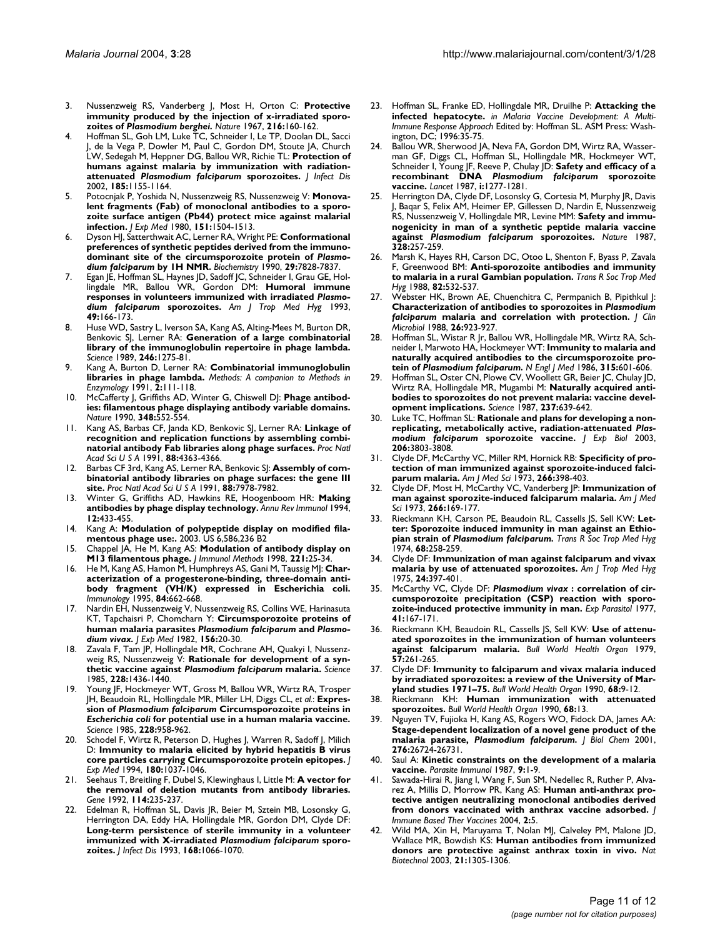- 3. Nussenzweig RS, Vanderberg J, Most H, Orton C: **Protective immunity produced by the injection of x-irradiated sporozoites of** *Plasmodium berghei. Nature* 1967, **216:**160-162.
- <span id="page-10-0"></span>4. Hoffman SL, Goh LM, Luke TC, Schneider I, Le TP, Doolan DL, Sacci J, de la Vega P, Dowler M, Paul C, Gordon DM, Stoute JA, Church LW, Sedegah M, Heppner DG, Ballou WR, Richie TL: **Protection of humans against malaria by immunization with radiationattenuated** *Plasmodium falciparum* **[sporozoites](http://www.ncbi.nlm.nih.gov/entrez/query.fcgi?cmd=Retrieve&db=PubMed&dopt=Abstract&list_uids=10.1086/339409)[.](http://www.ncbi.nlm.nih.gov/entrez/query.fcgi?cmd=Retrieve&db=PubMed&dopt=Abstract&list_uids=11930326)** *J Infect Dis* 2002, **185:**1155-1164.
- 5. Potocnjak P, Yoshida N, Nussenzweig RS, Nussenzweig V: **[Monova](http://www.ncbi.nlm.nih.gov/entrez/query.fcgi?cmd=Retrieve&db=PubMed&dopt=Abstract&list_uids=10.1084/jem.151.6.1504)[lent fragments \(Fab\) of monoclonal antibodies to a sporo](http://www.ncbi.nlm.nih.gov/entrez/query.fcgi?cmd=Retrieve&db=PubMed&dopt=Abstract&list_uids=10.1084/jem.151.6.1504)zoite surface antigen (Pb44) protect mice against malarial [infection](http://www.ncbi.nlm.nih.gov/entrez/query.fcgi?cmd=Retrieve&db=PubMed&dopt=Abstract&list_uids=10.1084/jem.151.6.1504)[.](http://www.ncbi.nlm.nih.gov/entrez/query.fcgi?cmd=Retrieve&db=PubMed&dopt=Abstract&list_uids=6991628)** *J Exp Med* 1980, **151:**1504-1513.
- <span id="page-10-1"></span>6. Dyson HJ, Satterthwait AC, Lerner RA, Wright PE: **Conformational preferences of synthetic peptides derived from the immunodominant site of the circumsporozoite protein of** *Plasmodium falciparum* **[by 1H NMR.](http://www.ncbi.nlm.nih.gov/entrez/query.fcgi?cmd=Retrieve&db=PubMed&dopt=Abstract&list_uids=2261440)** *Biochemistry* 1990, **29:**7828-7837.
- <span id="page-10-2"></span>7. Egan JE, Hoffman SL, Haynes JD, Sadoff JC, Schneider I, Grau GE, Hollingdale MR, Ballou WR, Gordon DM: **Humoral immune responses in volunteers immunized with irradiated** *Plasmodium falciparum* **[sporozoites.](http://www.ncbi.nlm.nih.gov/entrez/query.fcgi?cmd=Retrieve&db=PubMed&dopt=Abstract&list_uids=8357078)** *Am J Trop Med Hyg* 1993, **49:**166-173.
- 8. Huse WD, Sastry L, Iverson SA, Kang AS, Alting-Mees M, Burton DR, Benkovic SJ, Lerner RA: **[Generation of a large combinatorial](http://www.ncbi.nlm.nih.gov/entrez/query.fcgi?cmd=Retrieve&db=PubMed&dopt=Abstract&list_uids=2531466) [library of the immunoglobulin repertoire in phage lambda.](http://www.ncbi.nlm.nih.gov/entrez/query.fcgi?cmd=Retrieve&db=PubMed&dopt=Abstract&list_uids=2531466)** *Science* 1989, **246:**1275-81.
- 9. Kang A, Burton D, Lerner RA: **Combinatorial immunoglobulin libraries in phage lambda.** *Methods: A companion to Methods in Enzymology* 1991, **2:**111-118.
- 10. McCafferty J, Griffiths AD, Winter G, Chiswell DJ: **[Phage antibod](http://www.ncbi.nlm.nih.gov/entrez/query.fcgi?cmd=Retrieve&db=PubMed&dopt=Abstract&list_uids=10.1038/348552a0)[ies: filamentous phage displaying antibody variable domains](http://www.ncbi.nlm.nih.gov/entrez/query.fcgi?cmd=Retrieve&db=PubMed&dopt=Abstract&list_uids=10.1038/348552a0)[.](http://www.ncbi.nlm.nih.gov/entrez/query.fcgi?cmd=Retrieve&db=PubMed&dopt=Abstract&list_uids=2247164)** *Nature* 1990, **348:**552-554.
- 11. Kang AS, Barbas CF, Janda KD, Benkovic SJ, Lerner RA: **[Linkage of](http://www.ncbi.nlm.nih.gov/entrez/query.fcgi?cmd=Retrieve&db=PubMed&dopt=Abstract&list_uids=1903540) [recognition and replication functions by assembling combi](http://www.ncbi.nlm.nih.gov/entrez/query.fcgi?cmd=Retrieve&db=PubMed&dopt=Abstract&list_uids=1903540)[natorial antibody Fab libraries along phage surfaces.](http://www.ncbi.nlm.nih.gov/entrez/query.fcgi?cmd=Retrieve&db=PubMed&dopt=Abstract&list_uids=1903540)** *Proc Natl Acad Sci U S A* 1991, **88:**4363-4366.
- Barbas CF 3rd, Kang AS, Lerner RA, Benkovic SJ: [Assembly of com](http://www.ncbi.nlm.nih.gov/entrez/query.fcgi?cmd=Retrieve&db=PubMed&dopt=Abstract&list_uids=1896445)**[binatorial antibody libraries on phage surfaces: the gene III](http://www.ncbi.nlm.nih.gov/entrez/query.fcgi?cmd=Retrieve&db=PubMed&dopt=Abstract&list_uids=1896445) [site.](http://www.ncbi.nlm.nih.gov/entrez/query.fcgi?cmd=Retrieve&db=PubMed&dopt=Abstract&list_uids=1896445)** *Proc Natl Acad Sci U S A* 1991, **88:**7978-7982.
- 13. Winter G, Griffiths AD, Hawkins RE, Hoogenboom HR: **[Making](http://www.ncbi.nlm.nih.gov/entrez/query.fcgi?cmd=Retrieve&db=PubMed&dopt=Abstract&list_uids=10.1146/annurev.iy.12.040194.002245) [antibodies by phage display technology](http://www.ncbi.nlm.nih.gov/entrez/query.fcgi?cmd=Retrieve&db=PubMed&dopt=Abstract&list_uids=10.1146/annurev.iy.12.040194.002245)[.](http://www.ncbi.nlm.nih.gov/entrez/query.fcgi?cmd=Retrieve&db=PubMed&dopt=Abstract&list_uids=8011287)** *Annu Rev Immunol* 1994, **12:**433-455.
- 14. Kang A: **Modulation of polypeptide display on modified filamentous phage use:.** 2003. US 6,586,236 B2
- 15. Chappel JA, He M, Kang AS: **[Modulation of antibody display on](http://www.ncbi.nlm.nih.gov/entrez/query.fcgi?cmd=Retrieve&db=PubMed&dopt=Abstract&list_uids=10.1016/S0022-1759(98)00094-5) [M13 filamentous phage](http://www.ncbi.nlm.nih.gov/entrez/query.fcgi?cmd=Retrieve&db=PubMed&dopt=Abstract&list_uids=10.1016/S0022-1759(98)00094-5)[.](http://www.ncbi.nlm.nih.gov/entrez/query.fcgi?cmd=Retrieve&db=PubMed&dopt=Abstract&list_uids=9894895)** *J Immunol Methods* 1998, **221:**25-34.
- 16. He M, Kang AS, Hamon M, Humphreys AS, Gani M, Taussig MJ: **[Char](http://www.ncbi.nlm.nih.gov/entrez/query.fcgi?cmd=Retrieve&db=PubMed&dopt=Abstract&list_uids=7790041)[acterization of a progesterone-binding, three-domain anti](http://www.ncbi.nlm.nih.gov/entrez/query.fcgi?cmd=Retrieve&db=PubMed&dopt=Abstract&list_uids=7790041)body fragment (VH/K) expressed in Escherichia coli.** *Immunology* 1995, **84:**662-668.
- Nardin EH, Nussenzweig V, Nussenzweig RS, Collins WE, Harinasuta KT, Tapchaisri P, Chomcharn Y: **Circumsporozoite proteins of human malaria parasites** *Plasmodium falciparum* **and** *Plasmodium vivax. J Exp Med* 1982, **156:**20-30.
- <span id="page-10-3"></span>Zavala F, Tam JP, Hollingdale MR, Cochrane AH, Quakyi I, Nussenzweig RS, Nussenzweig V: **Rationale for development of a synthetic vaccine against** *Plasmodium falciparum* **[malaria.](http://www.ncbi.nlm.nih.gov/entrez/query.fcgi?cmd=Retrieve&db=PubMed&dopt=Abstract&list_uids=2409595)** *Science* 1985, **228:**1436-1440.
- <span id="page-10-4"></span>19. Young JF, Hockmeyer WT, Gross M, Ballou WR, Wirtz RA, Trosper JH, Beaudoin RL, Hollingdale MR, Miller LH, Diggs CL, *et al.*: **Expression of** *Plasmodium falciparum* **Circumsporozoite proteins in** *Escherichia coli* **[for potential use in a human malaria vaccine.](http://www.ncbi.nlm.nih.gov/entrez/query.fcgi?cmd=Retrieve&db=PubMed&dopt=Abstract&list_uids=2988125)** *Science* 1985, **228:**958-962.
- 20. Schodel F, Wirtz R, Peterson D, Hughes J, Warren R, Sadoff J, Milich D: **[Immunity to malaria elicited by hybrid hepatitis B virus](http://www.ncbi.nlm.nih.gov/entrez/query.fcgi?cmd=Retrieve&db=PubMed&dopt=Abstract&list_uids=10.1084/jem.180.3.1037) [core particles carrying Circumsporozoite protein epitopes](http://www.ncbi.nlm.nih.gov/entrez/query.fcgi?cmd=Retrieve&db=PubMed&dopt=Abstract&list_uids=10.1084/jem.180.3.1037)[.](http://www.ncbi.nlm.nih.gov/entrez/query.fcgi?cmd=Retrieve&db=PubMed&dopt=Abstract&list_uids=7520465)** *J Exp Med* 1994, **180:**1037-1046.
- 21. Seehaus T, Breitling F, Dubel S, Klewinghaus I, Little M: **[A vector for](http://www.ncbi.nlm.nih.gov/entrez/query.fcgi?cmd=Retrieve&db=PubMed&dopt=Abstract&list_uids=10.1016/0378-1119(92)90580-I) [the removal of deletion mutants from antibody libraries](http://www.ncbi.nlm.nih.gov/entrez/query.fcgi?cmd=Retrieve&db=PubMed&dopt=Abstract&list_uids=10.1016/0378-1119(92)90580-I)[.](http://www.ncbi.nlm.nih.gov/entrez/query.fcgi?cmd=Retrieve&db=PubMed&dopt=Abstract&list_uids=1601305)** *Gene* 1992, **114:**235-237.
- <span id="page-10-5"></span>22. Edelman R, Hoffman SL, Davis JR, Beier M, Sztein MB, Losonsky G, Herrington DA, Eddy HA, Hollingdale MR, Gordon DM, Clyde DF: **Long-term persistence of sterile immunity in a volunteer immunized with X-irradiated** *Plasmodium falciparum* **[sporo](http://www.ncbi.nlm.nih.gov/entrez/query.fcgi?cmd=Retrieve&db=PubMed&dopt=Abstract&list_uids=8376823)[zoites.](http://www.ncbi.nlm.nih.gov/entrez/query.fcgi?cmd=Retrieve&db=PubMed&dopt=Abstract&list_uids=8376823)** *J Infect Dis* 1993, **168:**1066-1070.
- 23. Hoffman SL, Franke ED, Hollingdale MR, Druilhe P: **Attacking the infected hepatocyte.** *in Malaria Vaccine Development: A Multi-Immune Response Approach* Edited by: Hoffman SL. ASM Press: Washington, DC; 1996:35-75.
- 24. Ballou WR, Sherwood JA, Neva FA, Gordon DM, Wirtz RA, Wasserman GF, Diggs CL, Hoffman SL, Hollingdale MR, Hockmeyer WT, Schneider I, Young JF, Reeve P, Chulay JD: **Safety and efficacy of a recombinant DNA** *Plasmodium falciparum* **sporozoite vaccine.** *Lancet* 1987, **i:**1277-1281.
- <span id="page-10-6"></span>25. Herrington DA, Clyde DF, Losonsky G, Cortesia M, Murphy JR, Davis J, Baqar S, Felix AM, Heimer EP, Gillessen D, Nardin E, Nussenzweig RS, Nussenzweig V, Hollingdale MR, Levine MM: **Safety and immunogenicity in man of a synthetic peptide malaria vaccine against** *Plasmodium falciparum* **[sporozoites](http://www.ncbi.nlm.nih.gov/entrez/query.fcgi?cmd=Retrieve&db=PubMed&dopt=Abstract&list_uids=10.1038/328257a0)[.](http://www.ncbi.nlm.nih.gov/entrez/query.fcgi?cmd=Retrieve&db=PubMed&dopt=Abstract&list_uids=2439920)** *Nature* 1987, **328:**257-259.
- 26. Marsh K, Hayes RH, Carson DC, Otoo L, Shenton F, Byass P, Zavala F, Greenwood BM: **[Anti-sporozoite antibodies and immunity](http://www.ncbi.nlm.nih.gov/entrez/query.fcgi?cmd=Retrieve&db=PubMed&dopt=Abstract&list_uids=10.1016/0035-9203(88)90495-6) [to malaria in a rural Gambian population](http://www.ncbi.nlm.nih.gov/entrez/query.fcgi?cmd=Retrieve&db=PubMed&dopt=Abstract&list_uids=10.1016/0035-9203(88)90495-6)[.](http://www.ncbi.nlm.nih.gov/entrez/query.fcgi?cmd=Retrieve&db=PubMed&dopt=Abstract&list_uids=2475928)** *Trans R Soc Trop Med Hyg* 1988, **82:**532-537.
- <span id="page-10-7"></span>27. Webster HK, Brown AE, Chuenchitra C, Permpanich B, Pipithkul J: **Characterization of antibodies to sporozoites in** *Plasmodium falciparum* **[malaria and correlation with protection.](http://www.ncbi.nlm.nih.gov/entrez/query.fcgi?cmd=Retrieve&db=PubMed&dopt=Abstract&list_uids=2454941)** *J Clin Microbiol* 1988, **26:**923-927.
- 28. Hoffman SL, Wistar R Jr, Ballou WR, Hollingdale MR, Wirtz RA, Schneider I, Marwoto HA, Hockmeyer WT: **Immunity to malaria and naturally acquired antibodies to the circumsporozoite protein of** *Plasmodium falciparum. N Engl J Med* 1986, **315:**601-606.
- 29. Hoffman SL, Oster CN, Plowe CV, Woollett GR, Beier JC, Chulay JD, Wirtz RA, Hollingdale MR, Mugambi M: **[Naturally acquired anti](http://www.ncbi.nlm.nih.gov/entrez/query.fcgi?cmd=Retrieve&db=PubMed&dopt=Abstract&list_uids=3299709)[bodies to sporozoites do not prevent malaria: vaccine devel](http://www.ncbi.nlm.nih.gov/entrez/query.fcgi?cmd=Retrieve&db=PubMed&dopt=Abstract&list_uids=3299709)[opment implications.](http://www.ncbi.nlm.nih.gov/entrez/query.fcgi?cmd=Retrieve&db=PubMed&dopt=Abstract&list_uids=3299709)** *Science* 1987, **237:**639-642.
- <span id="page-10-8"></span>Luke TC, Hoffman SL: Rationale and plans for developing a non**replicating, metabolically active, radiation-attenuated** *Plasmodium falciparum* **[sporozoite vaccine](http://www.ncbi.nlm.nih.gov/entrez/query.fcgi?cmd=Retrieve&db=PubMed&dopt=Abstract&list_uids=10.1242/jeb.00644)[.](http://www.ncbi.nlm.nih.gov/entrez/query.fcgi?cmd=Retrieve&db=PubMed&dopt=Abstract&list_uids=14506215)** *J Exp Biol* 2003, **206:**3803-3808.
- 31. Clyde DF, McCarthy VC, Miller RM, Hornick RB: **[Specificity of pro](http://www.ncbi.nlm.nih.gov/entrez/query.fcgi?cmd=Retrieve&db=PubMed&dopt=Abstract&list_uids=4590095)[tection of man immunized against sporozoite-induced falci](http://www.ncbi.nlm.nih.gov/entrez/query.fcgi?cmd=Retrieve&db=PubMed&dopt=Abstract&list_uids=4590095)[parum malaria.](http://www.ncbi.nlm.nih.gov/entrez/query.fcgi?cmd=Retrieve&db=PubMed&dopt=Abstract&list_uids=4590095)** *Am J Med Sci* 1973, **266:**398-403.
- 32. Clyde DF, Most H, McCarthy VC, Vanderberg JP: **[Immunization of](http://www.ncbi.nlm.nih.gov/entrez/query.fcgi?cmd=Retrieve&db=PubMed&dopt=Abstract&list_uids=4583408) [man against sporozite-induced falciparum malaria.](http://www.ncbi.nlm.nih.gov/entrez/query.fcgi?cmd=Retrieve&db=PubMed&dopt=Abstract&list_uids=4583408)** *Am J Med Sci* 1973, **266:**169-177.
- 33. Rieckmann KH, Carson PE, Beaudoin RL, Cassells JS, Sell KW: **Letter: Sporozoite induced immunity in man against an Ethiopian strain of** *Plasmodium falciparum. Trans R Soc Trop Med Hyg* 1974, **68:**258-259.
- 34. Clyde DF: **[Immunization of man against falciparum and vivax](http://www.ncbi.nlm.nih.gov/entrez/query.fcgi?cmd=Retrieve&db=PubMed&dopt=Abstract&list_uids=808142) [malaria by use of attenuated sporozoites.](http://www.ncbi.nlm.nih.gov/entrez/query.fcgi?cmd=Retrieve&db=PubMed&dopt=Abstract&list_uids=808142)** *Am J Trop Med Hyg* 1975, **24:**397-401.
- 35. McCarthy VC, Clyde DF: *Plasmodium vivax* **[: correlation of cir](http://www.ncbi.nlm.nih.gov/entrez/query.fcgi?cmd=Retrieve&db=PubMed&dopt=Abstract&list_uids=10.1016/0014-4894(77)90142-4)[cumsporozoite precipitation \(CSP\) reaction with sporo](http://www.ncbi.nlm.nih.gov/entrez/query.fcgi?cmd=Retrieve&db=PubMed&dopt=Abstract&list_uids=10.1016/0014-4894(77)90142-4)[zoite-induced protective immunity in man](http://www.ncbi.nlm.nih.gov/entrez/query.fcgi?cmd=Retrieve&db=PubMed&dopt=Abstract&list_uids=10.1016/0014-4894(77)90142-4)[.](http://www.ncbi.nlm.nih.gov/entrez/query.fcgi?cmd=Retrieve&db=PubMed&dopt=Abstract&list_uids=320027)** *Exp Parasitol* 1977, **41:**167-171.
- 36. Rieckmann KH, Beaudoin RL, Cassells JS, Sell KW: **[Use of attenu](http://www.ncbi.nlm.nih.gov/entrez/query.fcgi?cmd=Retrieve&db=PubMed&dopt=Abstract&list_uids=120773)[ated sporozoites in the immunization of human volunteers](http://www.ncbi.nlm.nih.gov/entrez/query.fcgi?cmd=Retrieve&db=PubMed&dopt=Abstract&list_uids=120773) [against falciparum malaria.](http://www.ncbi.nlm.nih.gov/entrez/query.fcgi?cmd=Retrieve&db=PubMed&dopt=Abstract&list_uids=120773)** *Bull World Health Organ* 1979, **57:**261-265.
- 37. Clyde DF: **[Immunity to falciparum and vivax malaria induced](http://www.ncbi.nlm.nih.gov/entrez/query.fcgi?cmd=Retrieve&db=PubMed&dopt=Abstract&list_uids=2094597) [by irradiated sporozoites: a review of the University of Mar](http://www.ncbi.nlm.nih.gov/entrez/query.fcgi?cmd=Retrieve&db=PubMed&dopt=Abstract&list_uids=2094597)[yland studies 1971–75.](http://www.ncbi.nlm.nih.gov/entrez/query.fcgi?cmd=Retrieve&db=PubMed&dopt=Abstract&list_uids=2094597)** *Bull World Health Organ* 1990, **68:**9-12.
- 38. Rieckmann KH: **[Human immunization with attenuated](http://www.ncbi.nlm.nih.gov/entrez/query.fcgi?cmd=Retrieve&db=PubMed&dopt=Abstract&list_uids=2094578) [sporozoites.](http://www.ncbi.nlm.nih.gov/entrez/query.fcgi?cmd=Retrieve&db=PubMed&dopt=Abstract&list_uids=2094578)** *Bull World Health Organ* 1990, **68:**13.
- 39. Nguyen TV, Fujioka H, Kang AS, Rogers WO, Fidock DA, James AA: **Stage-dependent localization of a novel gene product of the malaria parasite,** *Plasmodium falciparum. J Biol Chem* 2001, **276:**26724-26731.
- 40. Saul A: **[Kinetic constraints on the development of a malaria](http://www.ncbi.nlm.nih.gov/entrez/query.fcgi?cmd=Retrieve&db=PubMed&dopt=Abstract&list_uids=2436129) [vaccine.](http://www.ncbi.nlm.nih.gov/entrez/query.fcgi?cmd=Retrieve&db=PubMed&dopt=Abstract&list_uids=2436129)** *Parasite Immunol* 1987, **9:**1-9.
- Sawada-Hirai R, Jiang I, Wang F, Sun SM, Nedellec R, Ruther P, Alvarez A, Millis D, Morrow PR, Kang AS: **[Human anti-anthrax pro](http://www.ncbi.nlm.nih.gov/entrez/query.fcgi?cmd=Retrieve&db=PubMed&dopt=Abstract&list_uids=10.1186/1476-8518-2-5)[tective antigen neutralizing monoclonal antibodies derived](http://www.ncbi.nlm.nih.gov/entrez/query.fcgi?cmd=Retrieve&db=PubMed&dopt=Abstract&list_uids=10.1186/1476-8518-2-5) [from donors vaccinated with anthrax vaccine adsorbed](http://www.ncbi.nlm.nih.gov/entrez/query.fcgi?cmd=Retrieve&db=PubMed&dopt=Abstract&list_uids=10.1186/1476-8518-2-5)[.](http://www.ncbi.nlm.nih.gov/entrez/query.fcgi?cmd=Retrieve&db=PubMed&dopt=Abstract&list_uids=15140257)** *J Immune Based Ther Vaccines* 2004, **2:**5.
- 42. Wild MA, Xin H, Maruyama T, Nolan MJ, Calveley PM, Malone JD, Wallace MR, Bowdish KS: **[Human antibodies from immunized](http://www.ncbi.nlm.nih.gov/entrez/query.fcgi?cmd=Retrieve&db=PubMed&dopt=Abstract&list_uids=10.1038/nbt891) [donors are protective against anthrax toxin in vivo](http://www.ncbi.nlm.nih.gov/entrez/query.fcgi?cmd=Retrieve&db=PubMed&dopt=Abstract&list_uids=10.1038/nbt891)[.](http://www.ncbi.nlm.nih.gov/entrez/query.fcgi?cmd=Retrieve&db=PubMed&dopt=Abstract&list_uids=14555959)** *Nat Biotechnol* 2003, **21:**1305-1306.